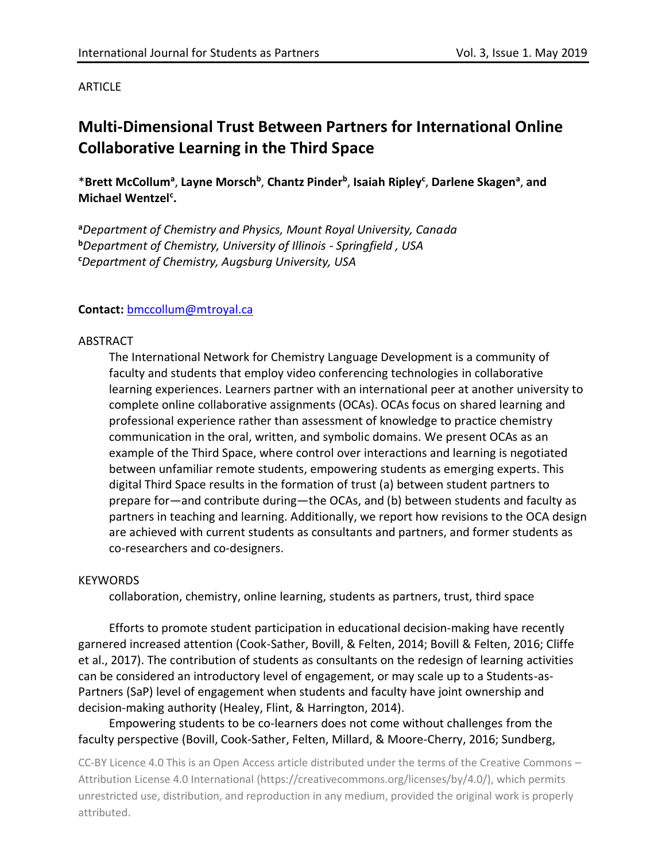## **ARTICLE**

# **Multi-Dimensional Trust Between Partners for International Online Collaborative Learning in the Third Space**

\***Brett McCollum<sup>a</sup>** , **Layne Morsch<sup>b</sup>** , **Chantz Pinder<sup>b</sup>** , **Isaiah Ripley<sup>c</sup>** , **Darlene Skagen<sup>a</sup>** , **and Michael Wentzel<sup>c</sup> .**

**<sup>a</sup>***Department of Chemistry and Physics, Mount Royal University, Canada* **<sup>b</sup>***Department of Chemistry, University of Illinois - Springfield , USA* **<sup>c</sup>***Department of Chemistry, Augsburg University, USA*

#### **Contact:** [bmccollum@mtroyal.ca](mailto:bmccollum@mtroyal.ca)

#### ABSTRACT

The International Network for Chemistry Language Development is a community of faculty and students that employ video conferencing technologies in collaborative learning experiences. Learners partner with an international peer at another university to complete online collaborative assignments (OCAs). OCAs focus on shared learning and professional experience rather than assessment of knowledge to practice chemistry communication in the oral, written, and symbolic domains. We present OCAs as an example of the Third Space, where control over interactions and learning is negotiated between unfamiliar remote students, empowering students as emerging experts. This digital Third Space results in the formation of trust (a) between student partners to prepare for—and contribute during—the OCAs, and (b) between students and faculty as partners in teaching and learning. Additionally, we report how revisions to the OCA design are achieved with current students as consultants and partners, and former students as co-researchers and co-designers.

#### **KEYWORDS**

collaboration, chemistry, online learning, students as partners, trust, third space

Efforts to promote student participation in educational decision-making have recently garnered increased attention (Cook-Sather, Bovill, & Felten, 2014; Bovill & Felten, 2016; Cliffe et al., 2017). The contribution of students as consultants on the redesign of learning activities can be considered an introductory level of engagement, or may scale up to a Students-as-Partners (SaP) level of engagement when students and faculty have joint ownership and decision-making authority (Healey, Flint, & Harrington, 2014).

Empowering students to be co-learners does not come without challenges from the faculty perspective (Bovill, Cook-Sather, Felten, Millard, & Moore-Cherry, 2016; Sundberg,

CC-BY Licence 4.0 This is an Open Access article distributed under the terms of the Creative Commons – Attribution License 4.0 International (https://creativecommons.org/licenses/by/4.0/), which permits unrestricted use, distribution, and reproduction in any medium, provided the original work is properly attributed.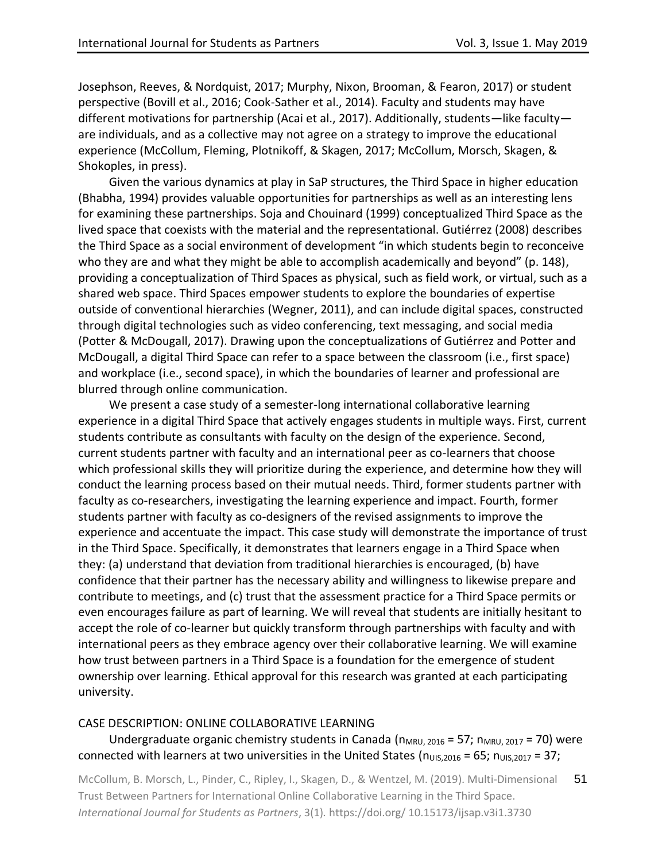Josephson, Reeves, & Nordquist, 2017; Murphy, Nixon, Brooman, & Fearon, 2017) or student perspective (Bovill et al., 2016; Cook-Sather et al., 2014). Faculty and students may have different motivations for partnership (Acai et al., 2017). Additionally, students—like faculty are individuals, and as a collective may not agree on a strategy to improve the educational experience (McCollum, Fleming, Plotnikoff, & Skagen, 2017; McCollum, Morsch, Skagen, & Shokoples, in press).

Given the various dynamics at play in SaP structures, the Third Space in higher education (Bhabha, 1994) provides valuable opportunities for partnerships as well as an interesting lens for examining these partnerships. Soja and Chouinard (1999) conceptualized Third Space as the lived space that coexists with the material and the representational. Gutiérrez (2008) describes the Third Space as a social environment of development "in which students begin to reconceive who they are and what they might be able to accomplish academically and beyond" (p. 148), providing a conceptualization of Third Spaces as physical, such as field work, or virtual, such as a shared web space. Third Spaces empower students to explore the boundaries of expertise outside of conventional hierarchies (Wegner, 2011), and can include digital spaces, constructed through digital technologies such as video conferencing, text messaging, and social media (Potter & McDougall, 2017). Drawing upon the conceptualizations of Gutiérrez and Potter and McDougall, a digital Third Space can refer to a space between the classroom (i.e., first space) and workplace (i.e., second space), in which the boundaries of learner and professional are blurred through online communication.

We present a case study of a semester-long international collaborative learning experience in a digital Third Space that actively engages students in multiple ways. First, current students contribute as consultants with faculty on the design of the experience. Second, current students partner with faculty and an international peer as co-learners that choose which professional skills they will prioritize during the experience, and determine how they will conduct the learning process based on their mutual needs. Third, former students partner with faculty as co-researchers, investigating the learning experience and impact. Fourth, former students partner with faculty as co-designers of the revised assignments to improve the experience and accentuate the impact. This case study will demonstrate the importance of trust in the Third Space. Specifically, it demonstrates that learners engage in a Third Space when they: (a) understand that deviation from traditional hierarchies is encouraged, (b) have confidence that their partner has the necessary ability and willingness to likewise prepare and contribute to meetings, and (c) trust that the assessment practice for a Third Space permits or even encourages failure as part of learning. We will reveal that students are initially hesitant to accept the role of co-learner but quickly transform through partnerships with faculty and with international peers as they embrace agency over their collaborative learning. We will examine how trust between partners in a Third Space is a foundation for the emergence of student ownership over learning. Ethical approval for this research was granted at each participating university.

#### CASE DESCRIPTION: ONLINE COLLABORATIVE LEARNING

# Undergraduate organic chemistry students in Canada ( $n_{MRU, 2016}$  = 57;  $n_{MRU, 2017}$  = 70) were connected with learners at two universities in the United States ( $n_{UIS,2016} = 65$ ;  $n_{UIS,2017} = 37$ ;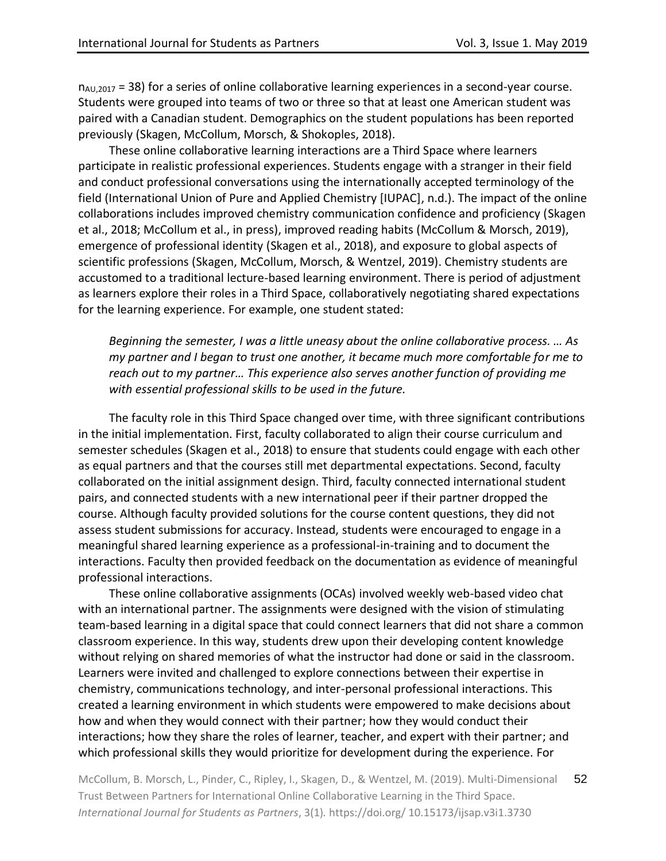$n_{A\cup,2017}$  = 38) for a series of online collaborative learning experiences in a second-year course. Students were grouped into teams of two or three so that at least one American student was paired with a Canadian student. Demographics on the student populations has been reported previously (Skagen, McCollum, Morsch, & Shokoples, 2018).

These online collaborative learning interactions are a Third Space where learners participate in realistic professional experiences. Students engage with a stranger in their field and conduct professional conversations using the internationally accepted terminology of the field (International Union of Pure and Applied Chemistry [IUPAC], n.d.). The impact of the online collaborations includes improved chemistry communication confidence and proficiency (Skagen et al., 2018; McCollum et al., in press), improved reading habits (McCollum & Morsch, 2019), emergence of professional identity (Skagen et al., 2018), and exposure to global aspects of scientific professions (Skagen, McCollum, Morsch, & Wentzel, 2019). Chemistry students are accustomed to a traditional lecture-based learning environment. There is period of adjustment as learners explore their roles in a Third Space, collaboratively negotiating shared expectations for the learning experience. For example, one student stated:

*Beginning the semester, I was a little uneasy about the online collaborative process. … As my partner and I began to trust one another, it became much more comfortable for me to reach out to my partner… This experience also serves another function of providing me with essential professional skills to be used in the future.*

The faculty role in this Third Space changed over time, with three significant contributions in the initial implementation. First, faculty collaborated to align their course curriculum and semester schedules (Skagen et al., 2018) to ensure that students could engage with each other as equal partners and that the courses still met departmental expectations. Second, faculty collaborated on the initial assignment design. Third, faculty connected international student pairs, and connected students with a new international peer if their partner dropped the course. Although faculty provided solutions for the course content questions, they did not assess student submissions for accuracy. Instead, students were encouraged to engage in a meaningful shared learning experience as a professional-in-training and to document the interactions. Faculty then provided feedback on the documentation as evidence of meaningful professional interactions.

These online collaborative assignments (OCAs) involved weekly web-based video chat with an international partner. The assignments were designed with the vision of stimulating team-based learning in a digital space that could connect learners that did not share a common classroom experience. In this way, students drew upon their developing content knowledge without relying on shared memories of what the instructor had done or said in the classroom. Learners were invited and challenged to explore connections between their expertise in chemistry, communications technology, and inter-personal professional interactions. This created a learning environment in which students were empowered to make decisions about how and when they would connect with their partner; how they would conduct their interactions; how they share the roles of learner, teacher, and expert with their partner; and which professional skills they would prioritize for development during the experience. For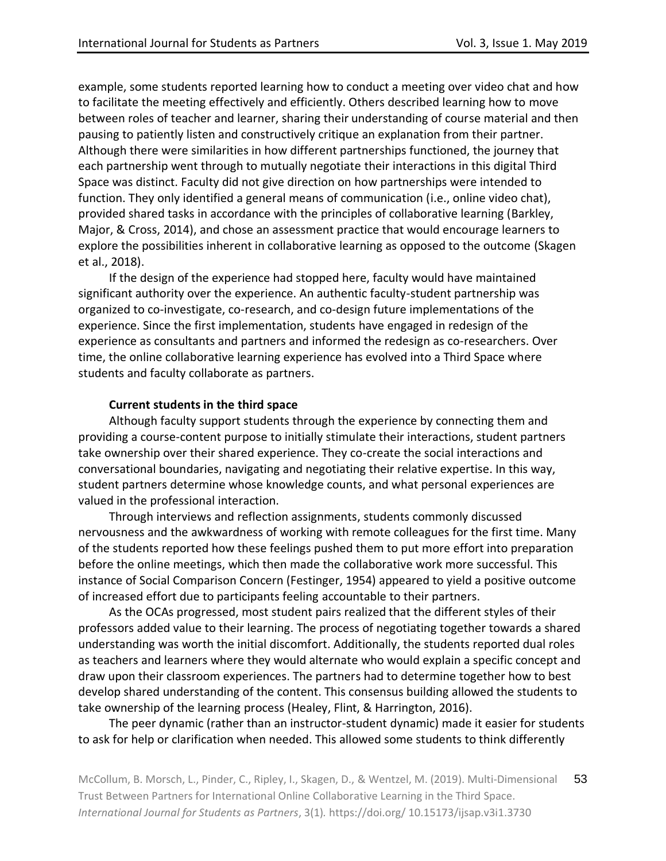example, some students reported learning how to conduct a meeting over video chat and how to facilitate the meeting effectively and efficiently. Others described learning how to move between roles of teacher and learner, sharing their understanding of course material and then pausing to patiently listen and constructively critique an explanation from their partner. Although there were similarities in how different partnerships functioned, the journey that each partnership went through to mutually negotiate their interactions in this digital Third Space was distinct. Faculty did not give direction on how partnerships were intended to function. They only identified a general means of communication (i.e., online video chat), provided shared tasks in accordance with the principles of collaborative learning (Barkley, Major, & Cross, 2014), and chose an assessment practice that would encourage learners to explore the possibilities inherent in collaborative learning as opposed to the outcome (Skagen et al., 2018).

If the design of the experience had stopped here, faculty would have maintained significant authority over the experience. An authentic faculty-student partnership was organized to co-investigate, co-research, and co-design future implementations of the experience. Since the first implementation, students have engaged in redesign of the experience as consultants and partners and informed the redesign as co-researchers. Over time, the online collaborative learning experience has evolved into a Third Space where students and faculty collaborate as partners.

#### **Current students in the third space**

Although faculty support students through the experience by connecting them and providing a course-content purpose to initially stimulate their interactions, student partners take ownership over their shared experience. They co-create the social interactions and conversational boundaries, navigating and negotiating their relative expertise. In this way, student partners determine whose knowledge counts, and what personal experiences are valued in the professional interaction.

Through interviews and reflection assignments, students commonly discussed nervousness and the awkwardness of working with remote colleagues for the first time. Many of the students reported how these feelings pushed them to put more effort into preparation before the online meetings, which then made the collaborative work more successful. This instance of Social Comparison Concern (Festinger, 1954) appeared to yield a positive outcome of increased effort due to participants feeling accountable to their partners.

As the OCAs progressed, most student pairs realized that the different styles of their professors added value to their learning. The process of negotiating together towards a shared understanding was worth the initial discomfort. Additionally, the students reported dual roles as teachers and learners where they would alternate who would explain a specific concept and draw upon their classroom experiences. The partners had to determine together how to best develop shared understanding of the content. This consensus building allowed the students to take ownership of the learning process (Healey, Flint, & Harrington, 2016).

The peer dynamic (rather than an instructor-student dynamic) made it easier for students to ask for help or clarification when needed. This allowed some students to think differently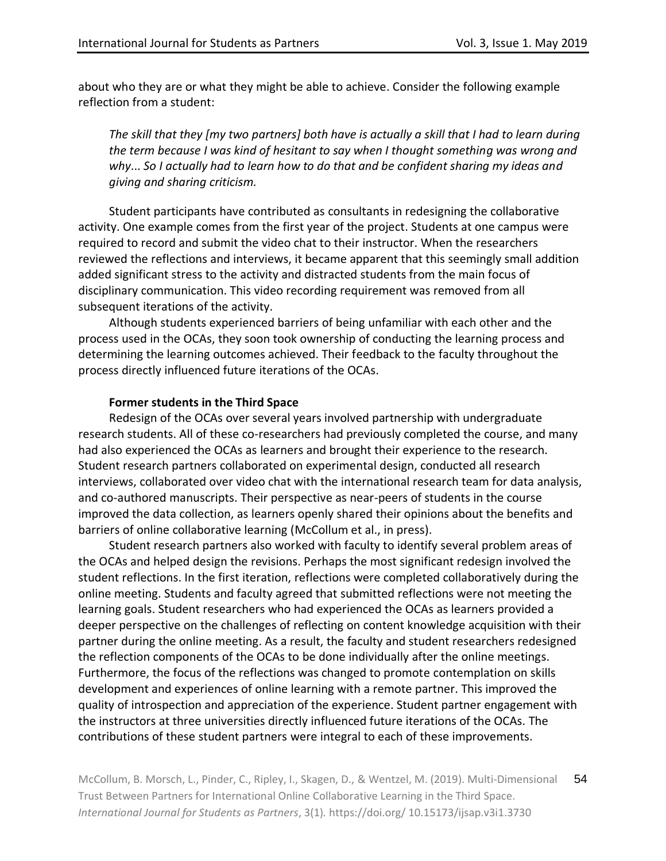about who they are or what they might be able to achieve. Consider the following example reflection from a student:

*The skill that they [my two partners] both have is actually a skill that I had to learn during the term because I was kind of hesitant to say when I thought something was wrong and why*... *So I actually had to learn how to do that and be confident sharing my ideas and giving and sharing criticism.*

Student participants have contributed as consultants in redesigning the collaborative activity. One example comes from the first year of the project. Students at one campus were required to record and submit the video chat to their instructor. When the researchers reviewed the reflections and interviews, it became apparent that this seemingly small addition added significant stress to the activity and distracted students from the main focus of disciplinary communication. This video recording requirement was removed from all subsequent iterations of the activity.

Although students experienced barriers of being unfamiliar with each other and the process used in the OCAs, they soon took ownership of conducting the learning process and determining the learning outcomes achieved. Their feedback to the faculty throughout the process directly influenced future iterations of the OCAs.

#### **Former students in the Third Space**

Redesign of the OCAs over several years involved partnership with undergraduate research students. All of these co-researchers had previously completed the course, and many had also experienced the OCAs as learners and brought their experience to the research. Student research partners collaborated on experimental design, conducted all research interviews, collaborated over video chat with the international research team for data analysis, and co-authored manuscripts. Their perspective as near-peers of students in the course improved the data collection, as learners openly shared their opinions about the benefits and barriers of online collaborative learning (McCollum et al., in press).

Student research partners also worked with faculty to identify several problem areas of the OCAs and helped design the revisions. Perhaps the most significant redesign involved the student reflections. In the first iteration, reflections were completed collaboratively during the online meeting. Students and faculty agreed that submitted reflections were not meeting the learning goals. Student researchers who had experienced the OCAs as learners provided a deeper perspective on the challenges of reflecting on content knowledge acquisition with their partner during the online meeting. As a result, the faculty and student researchers redesigned the reflection components of the OCAs to be done individually after the online meetings. Furthermore, the focus of the reflections was changed to promote contemplation on skills development and experiences of online learning with a remote partner. This improved the quality of introspection and appreciation of the experience. Student partner engagement with the instructors at three universities directly influenced future iterations of the OCAs. The contributions of these student partners were integral to each of these improvements.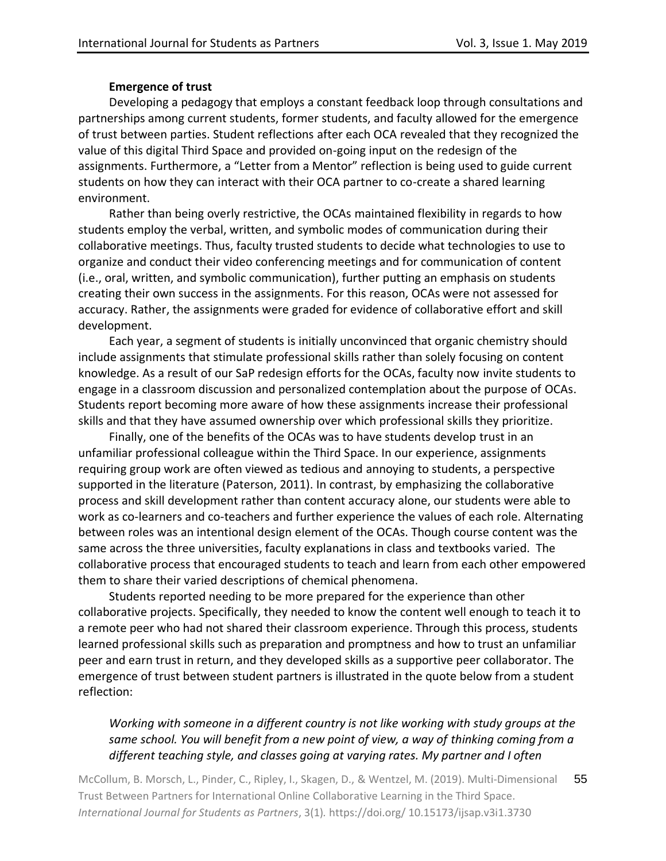## **Emergence of trust**

Developing a pedagogy that employs a constant feedback loop through consultations and partnerships among current students, former students, and faculty allowed for the emergence of trust between parties. Student reflections after each OCA revealed that they recognized the value of this digital Third Space and provided on-going input on the redesign of the assignments. Furthermore, a "Letter from a Mentor" reflection is being used to guide current students on how they can interact with their OCA partner to co-create a shared learning environment.

Rather than being overly restrictive, the OCAs maintained flexibility in regards to how students employ the verbal, written, and symbolic modes of communication during their collaborative meetings. Thus, faculty trusted students to decide what technologies to use to organize and conduct their video conferencing meetings and for communication of content (i.e., oral, written, and symbolic communication), further putting an emphasis on students creating their own success in the assignments. For this reason, OCAs were not assessed for accuracy. Rather, the assignments were graded for evidence of collaborative effort and skill development.

Each year, a segment of students is initially unconvinced that organic chemistry should include assignments that stimulate professional skills rather than solely focusing on content knowledge. As a result of our SaP redesign efforts for the OCAs, faculty now invite students to engage in a classroom discussion and personalized contemplation about the purpose of OCAs. Students report becoming more aware of how these assignments increase their professional skills and that they have assumed ownership over which professional skills they prioritize.

Finally, one of the benefits of the OCAs was to have students develop trust in an unfamiliar professional colleague within the Third Space. In our experience, assignments requiring group work are often viewed as tedious and annoying to students, a perspective supported in the literature (Paterson, 2011). In contrast, by emphasizing the collaborative process and skill development rather than content accuracy alone, our students were able to work as co-learners and co-teachers and further experience the values of each role. Alternating between roles was an intentional design element of the OCAs. Though course content was the same across the three universities, faculty explanations in class and textbooks varied. The collaborative process that encouraged students to teach and learn from each other empowered them to share their varied descriptions of chemical phenomena.

Students reported needing to be more prepared for the experience than other collaborative projects. Specifically, they needed to know the content well enough to teach it to a remote peer who had not shared their classroom experience. Through this process, students learned professional skills such as preparation and promptness and how to trust an unfamiliar peer and earn trust in return, and they developed skills as a supportive peer collaborator. The emergence of trust between student partners is illustrated in the quote below from a student reflection:

# *Working with someone in a different country is not like working with study groups at the same school. You will benefit from a new point of view, a way of thinking coming from a different teaching style, and classes going at varying rates. My partner and I often*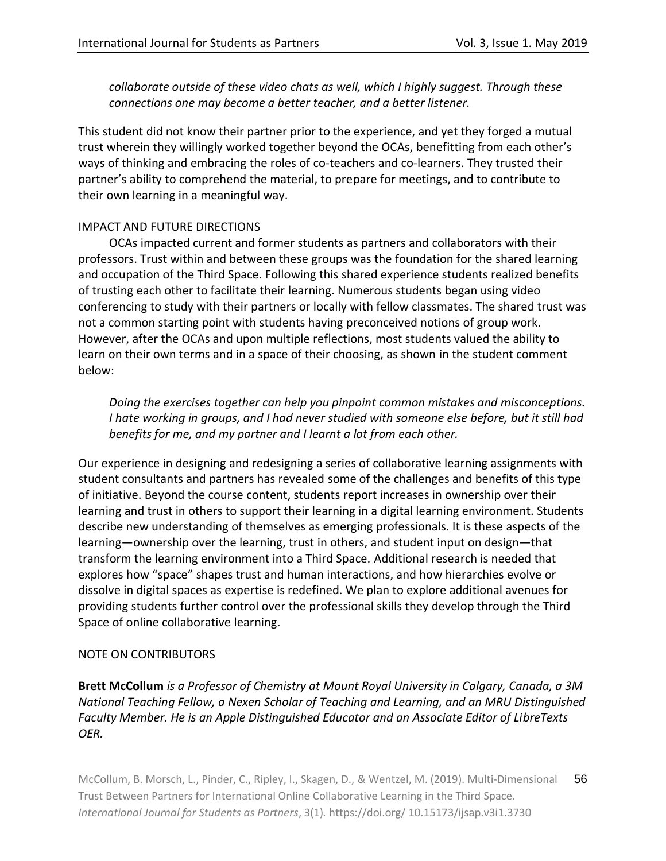*collaborate outside of these video chats as well, which I highly suggest. Through these connections one may become a better teacher, and a better listener.*

This student did not know their partner prior to the experience, and yet they forged a mutual trust wherein they willingly worked together beyond the OCAs, benefitting from each other's ways of thinking and embracing the roles of co-teachers and co-learners. They trusted their partner's ability to comprehend the material, to prepare for meetings, and to contribute to their own learning in a meaningful way.

## IMPACT AND FUTURE DIRECTIONS

OCAs impacted current and former students as partners and collaborators with their professors. Trust within and between these groups was the foundation for the shared learning and occupation of the Third Space. Following this shared experience students realized benefits of trusting each other to facilitate their learning. Numerous students began using video conferencing to study with their partners or locally with fellow classmates. The shared trust was not a common starting point with students having preconceived notions of group work. However, after the OCAs and upon multiple reflections, most students valued the ability to learn on their own terms and in a space of their choosing, as shown in the student comment below:

*Doing the exercises together can help you pinpoint common mistakes and misconceptions. I hate working in groups, and I had never studied with someone else before, but it still had benefits for me, and my partner and I learnt a lot from each other.*

Our experience in designing and redesigning a series of collaborative learning assignments with student consultants and partners has revealed some of the challenges and benefits of this type of initiative. Beyond the course content, students report increases in ownership over their learning and trust in others to support their learning in a digital learning environment. Students describe new understanding of themselves as emerging professionals. It is these aspects of the learning—ownership over the learning, trust in others, and student input on design—that transform the learning environment into a Third Space. Additional research is needed that explores how "space" shapes trust and human interactions, and how hierarchies evolve or dissolve in digital spaces as expertise is redefined. We plan to explore additional avenues for providing students further control over the professional skills they develop through the Third Space of online collaborative learning.

# NOTE ON CONTRIBUTORS

**Brett McCollum** *is a Professor of Chemistry at Mount Royal University in Calgary, Canada, a 3M National Teaching Fellow, a Nexen Scholar of Teaching and Learning, and an MRU Distinguished Faculty Member. He is an Apple Distinguished Educator and an Associate Editor of LibreTexts OER.*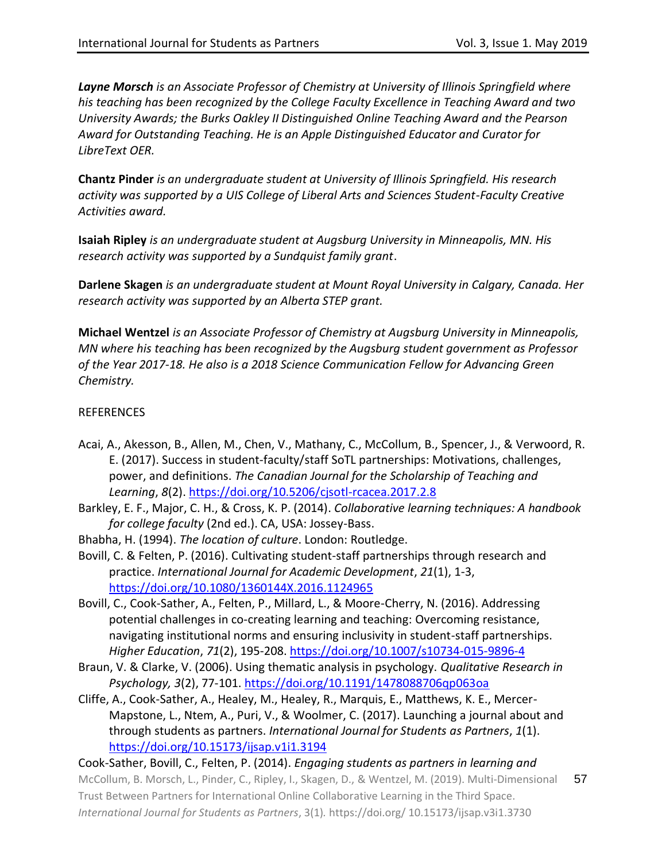*Layne Morsch is an Associate Professor of Chemistry at University of Illinois Springfield where his teaching has been recognized by the College Faculty Excellence in Teaching Award and two University Awards; the Burks Oakley II Distinguished Online Teaching Award and the Pearson Award for Outstanding Teaching. He is an Apple Distinguished Educator and Curator for LibreText OER.*

**Chantz Pinder** *is an undergraduate student at University of Illinois Springfield. His research activity was supported by a UIS College of Liberal Arts and Sciences Student-Faculty Creative Activities award.*

**Isaiah Ripley** *is an undergraduate student at Augsburg University in Minneapolis, MN. His research activity was supported by a Sundquist family grant*.

**Darlene Skagen** *is an undergraduate student at Mount Royal University in Calgary, Canada. Her research activity was supported by an Alberta STEP grant.*

**Michael Wentzel** *is an Associate Professor of Chemistry at Augsburg University in Minneapolis, MN where his teaching has been recognized by the Augsburg student government as Professor of the Year 2017-18. He also is a 2018 Science Communication Fellow for Advancing Green Chemistry.*

#### REFERENCES

- Acai, A., Akesson, B., Allen, M., Chen, V., Mathany, C., McCollum, B., Spencer, J., & Verwoord, R. E. (2017). Success in student-faculty/staff SoTL partnerships: Motivations, challenges, power, and definitions. *The Canadian Journal for the Scholarship of Teaching and Learning*, *8*(2)[. https://doi.org/10.5206/cjsotl-rcacea.2017.2.8](https://doi.org/10.5206/cjsotl-rcacea.2017.2.8)
- Barkley, E. F., Major, C. H., & Cross, K. P. (2014). *Collaborative learning techniques: A handbook for college faculty* (2nd ed.). CA, USA: Jossey-Bass.
- Bhabha, H. (1994). *The location of culture*. London: Routledge.
- Bovill, C. & Felten, P. (2016). Cultivating student-staff partnerships through research and practice. *International Journal for Academic Development*, *21*(1), 1-3, <https://doi.org/10.1080/1360144X.2016.1124965>
- Bovill, C., Cook-Sather, A., Felten, P., Millard, L., & Moore-Cherry, N. (2016). Addressing potential challenges in co-creating learning and teaching: Overcoming resistance, navigating institutional norms and ensuring inclusivity in student-staff partnerships. *Higher Education*, *71*(2), 195-208. <https://doi.org/10.1007/s10734-015-9896-4>
- Braun, V. & Clarke, V. (2006). Using thematic analysis in psychology. *Qualitative Research in Psychology, 3*(2), 77-101. <https://doi.org/10.1191/1478088706qp063oa>
- Cliffe, A., Cook-Sather, A., Healey, M., Healey, R., Marquis, E., Matthews, K. E., Mercer-Mapstone, L., Ntem, A., Puri, V., & Woolmer, C. (2017). Launching a journal about and through students as partners. *International Journal for Students as Partners*, *1*(1). <https://doi.org/10.15173/ijsap.v1i1.3194>

McCollum, B. Morsch, L., Pinder, C., Ripley, I., Skagen, D., & Wentzel, M. (2019). Multi-Dimensional Trust Between Partners for International Online Collaborative Learning in the Third Space. *International Journal for Students as Partners*, 3(1)*.* https://doi.org/ 10.15173/ijsap.v3i1.3730 57 Cook-Sather, Bovill, C., Felten, P. (2014). *Engaging students as partners in learning and*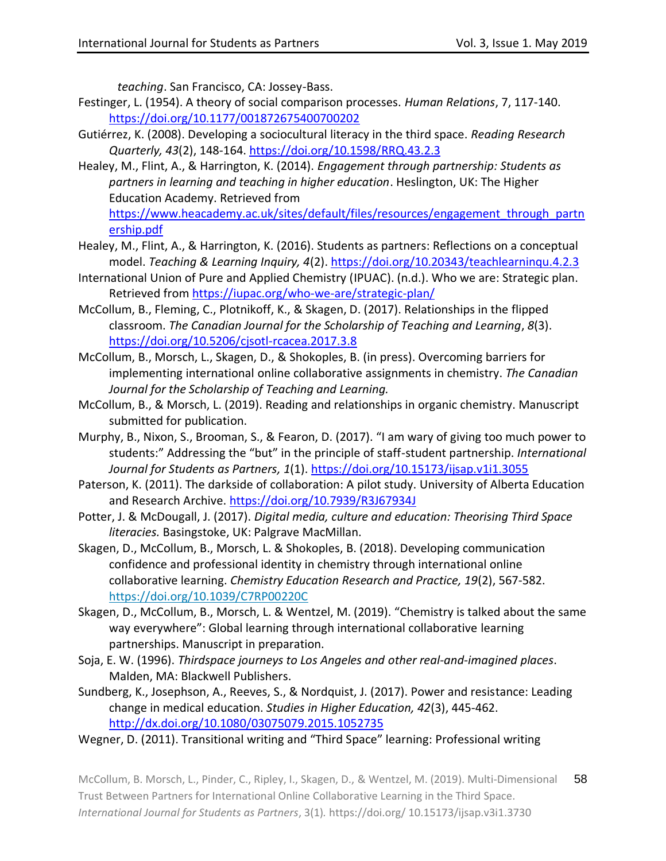*teaching*. San Francisco, CA: Jossey-Bass.

- Festinger, L. (1954). A theory of social comparison processes. *Human Relations*, 7, 117-140. <https://doi.org/10.1177/001872675400700202>
- Gutiérrez, K. (2008). Developing a sociocultural literacy in the third space. *Reading Research Quarterly, 43*(2), 148-164. <https://doi.org/10.1598/RRQ.43.2.3>
- Healey, M., Flint, A., & Harrington, K. (2014). *Engagement through partnership: Students as partners in learning and teaching in higher education*. Heslington, UK: The Higher Education Academy. Retrieved from [https://www.heacademy.ac.uk/sites/default/files/resources/engagement\\_through\\_partn](https://www.heacademy.ac.uk/sites/default/files/resources/engagement_through_partnership.pdf) [ership.pdf](https://www.heacademy.ac.uk/sites/default/files/resources/engagement_through_partnership.pdf)
- Healey, M., Flint, A., & Harrington, K. (2016). Students as partners: Reflections on a conceptual model. *Teaching & Learning Inquiry, 4*(2). <https://doi.org/10.20343/teachlearninqu.4.2.3>
- International Union of Pure and Applied Chemistry (IPUAC). (n.d.). Who we are: Strategic plan. Retrieved fro[m https://iupac.org/who-we-are/strategic-plan/](https://iupac.org/who-we-are/strategic-plan/)
- McCollum, B., Fleming, C., Plotnikoff, K., & Skagen, D. (2017). Relationships in the flipped classroom. *The Canadian Journal for the Scholarship of Teaching and Learning*, *8*(3). <https://doi.org/10.5206/cjsotl-rcacea.2017.3.8>
- McCollum, B., Morsch, L., Skagen, D., & Shokoples, B. (in press). Overcoming barriers for implementing international online collaborative assignments in chemistry. *The Canadian Journal for the Scholarship of Teaching and Learning.*
- McCollum, B., & Morsch, L. (2019). Reading and relationships in organic chemistry. Manuscript submitted for publication.
- Murphy, B., Nixon, S., Brooman, S., & Fearon, D. (2017). "I am wary of giving too much power to students:" Addressing the "but" in the principle of staff-student partnership. *International Journal for Students as Partners, 1*(1). <https://doi.org/10.15173/ijsap.v1i1.3055>
- Paterson, K. (2011). The darkside of collaboration: A pilot study. University of Alberta Education and Research Archive.<https://doi.org/10.7939/R3J67934J>
- Potter, J. & McDougall, J. (2017). *Digital media, culture and education: Theorising Third Space literacies.* Basingstoke, UK: Palgrave MacMillan.
- Skagen, D., McCollum, B., Morsch, L. & Shokoples, B. (2018). Developing communication confidence and professional identity in chemistry through international online collaborative learning. *Chemistry Education Research and Practice, 19*(2), 567-582. <https://doi.org/10.1039/C7RP00220C>
- Skagen, D., McCollum, B., Morsch, L. & Wentzel, M. (2019). "Chemistry is talked about the same way everywhere": Global learning through international collaborative learning partnerships. Manuscript in preparation.
- Soja, E. W. (1996). *Thirdspace journeys to Los Angeles and other real-and-imagined places*. Malden, MA: Blackwell Publishers.
- Sundberg, K., Josephson, A., Reeves, S., & Nordquist, J. (2017). Power and resistance: Leading change in medical education. *Studies in Higher Education, 42*(3), 445-462. <http://dx.doi.org/10.1080/03075079.2015.1052735>
- Wegner, D. (2011). Transitional writing and "Third Space" learning: Professional writing